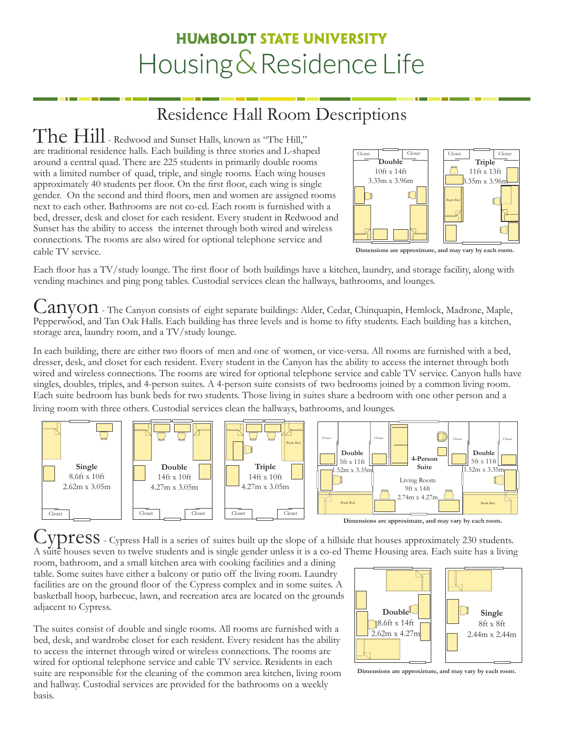# **HUMBOLDT STATE UNIVERSITY** Housing & Residence Life

## Residence Hall Room Descriptions

The Hill - Redwood and Sunset Halls, known as "The Hill," are traditional residence halls. Each building is three stories and L-shaped around a central quad. There are 225 students in primarily double rooms with a limited number of quad, triple, and single rooms. Each wing houses approximately 40 students per floor. On the first floor, each wing is single gender. On the second and third floors, men and women are assigned rooms next to each other. Bathrooms are not co-ed. Each room is furnished with a bed, dresser, desk and closet for each resident. Every student in Redwood and Sunset has the ability to access the internet through both wired and wireless connections. The rooms are also wired for optional telephone service and cable TV service.



**Dimensions are approximate, and may vary by each room.**

Each floor has a TV/study lounge. The first floor of both buildings have a kitchen, laundry, and storage facility, along with vending machines and ping pong tables. Custodial services clean the hallways, bathrooms, and lounges.

 $\mathcal{L}\mathbf{AVOM}$  - The Canyon consists of eight separate buildings: Alder, Cedar, Chinquapin, Hemlock, Madrone, Maple, Pepperwood, and Tan Oak Halls. Each building has three levels and is home to fifty students. Each building has a kitchen, storage area, laundry room, and a TV/study lounge.

In each building, there are either two floors of men and one of women, or vice-versa. All rooms are furnished with a bed, dresser, desk, and closet for each resident. Every student in the Canyon has the ability to access the internet through both wired and wireless connections. The rooms are wired for optional telephone service and cable TV service. Canyon halls have singles, doubles, triples, and 4-person suites. A 4-person suite consists of two bedrooms joined by a common living room. Each suite bedroom has bunk beds for two students. Those living in suites share a bedroom with one other person and a living room with three others. Custodial services clean the hallways, bathrooms, and lounges.



VDICSS - Cypress Hall is a series of suites built up the slope of a hillside that houses approximately 230 students. A suite houses seven to twelve students and is single gender unless it is a co-ed Theme Housing area. Each suite has a living

room, bathroom, and a small kitchen area with cooking facilities and a dining table. Some suites have either a balcony or patio off the living room. Laundry facilities are on the ground floor of the Cypress complex and in some suites. A basketball hoop, barbecue, lawn, and recreation area are located on the grounds adjacent to Cypress.

The suites consist of double and single rooms. All rooms are furnished with a bed, desk, and wardrobe closet for each resident. Every resident has the ability to access the internet through wired or wireless connections. The rooms are wired for optional telephone service and cable TV service. Residents in each suite are responsible for the cleaning of the common area kitchen, living room and hallway. Custodial services are provided for the bathrooms on a weekly basis.



**Dimensions are approximate, and may vary by each room.**